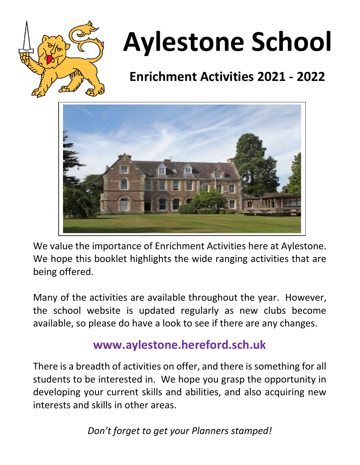

# **Aylestone School**

## **Enrichment Activities 2021 - 2022**



We value the importance of Enrichment Activities here at Aylestone. We hope this booklet highlights the wide ranging activities that are being offered.

Many of the activities are available throughout the year. However, the school website is updated regularly as new clubs become available, so please do have a look to see if there are any changes.

#### **www.aylestone.hereford.sch.uk**

There is a breadth of activities on offer, and there is something for all students to be interested in. We hope you grasp the opportunity in developing your current skills and abilities, and also acquiring new interests and skills in other areas.

*Don't forget to get your Planners stamped!*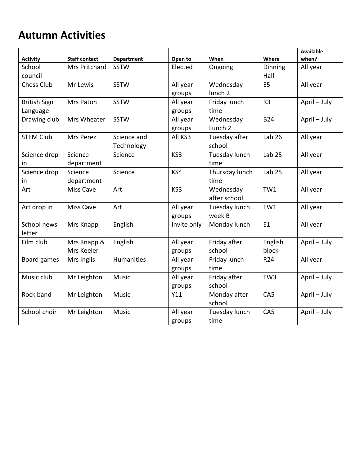#### **Autumn Activities**

|                     |                      |                   |             |                    |                   | <b>Available</b> |
|---------------------|----------------------|-------------------|-------------|--------------------|-------------------|------------------|
| <b>Activity</b>     | <b>Staff contact</b> | <b>Department</b> | Open to     | When               | Where             | when?            |
| School              | Mrs Pritchard        | <b>SSTW</b>       | Elected     | Ongoing            | <b>Dinning</b>    | All year         |
| council             |                      |                   |             |                    | Hall              |                  |
| <b>Chess Club</b>   | Mr Lewis             | <b>SSTW</b>       | All year    | Wednesday          | E <sub>5</sub>    | All year         |
|                     |                      |                   | groups      | lunch <sub>2</sub> |                   |                  |
| <b>British Sign</b> | Mrs Paton            | <b>SSTW</b>       | All year    | Friday lunch       | R <sub>3</sub>    | April - July     |
| Language            |                      |                   | groups      | time               |                   |                  |
| Drawing club        | Mrs Wheater          | <b>SSTW</b>       | All year    | Wednesday          | <b>B24</b>        | April - July     |
|                     |                      |                   | groups      | Lunch <sub>2</sub> |                   |                  |
| <b>STEM Club</b>    | Mrs Perez            | Science and       | All KS3     | Tuesday after      | Lab $26$          | All year         |
|                     |                      | Technology        |             | school             |                   |                  |
| Science drop        | Science              | Science           | KS3         | Tuesday lunch      | Lab $25$          | All year         |
| in                  | department           |                   |             | time               |                   |                  |
| Science drop        | Science              | Science           | KS4         | Thursday lunch     | Lab <sub>25</sub> | All year         |
| in                  | department           |                   |             | time               |                   |                  |
| Art                 | Miss Cave            | Art               | KS3         | Wednesday          | TW1               | All year         |
|                     |                      |                   |             | after school       |                   |                  |
| Art drop in         | Miss Cave            | Art               | All year    | Tuesday lunch      | TW1               | All year         |
|                     |                      |                   | groups      | week B             |                   |                  |
| School news         | Mrs Knapp            | English           | Invite only | Monday lunch       | E <sub>1</sub>    | All year         |
| letter              |                      |                   |             |                    |                   |                  |
| Film club           | Mrs Knapp &          | English           | All year    | Friday after       | English           | April - July     |
|                     | Mrs Keeler           |                   | groups      | school             | block             |                  |
| Board games         | Mrs Inglis           | <b>Humanities</b> | All year    | Friday lunch       | R24               | All year         |
|                     |                      |                   | groups      | time               |                   |                  |
| Music club          | Mr Leighton          | <b>Music</b>      | All year    | Friday after       | TW <sub>3</sub>   | April - July     |
|                     |                      |                   | groups      | school             |                   |                  |
| Rock band           | Mr Leighton          | Music             | Y11         | Monday after       | CA5               | April - July     |
|                     |                      |                   |             | school             |                   |                  |
| School choir        | Mr Leighton          | <b>Music</b>      | All year    | Tuesday lunch      | CA <sub>5</sub>   | April - July     |
|                     |                      |                   | groups      | time               |                   |                  |